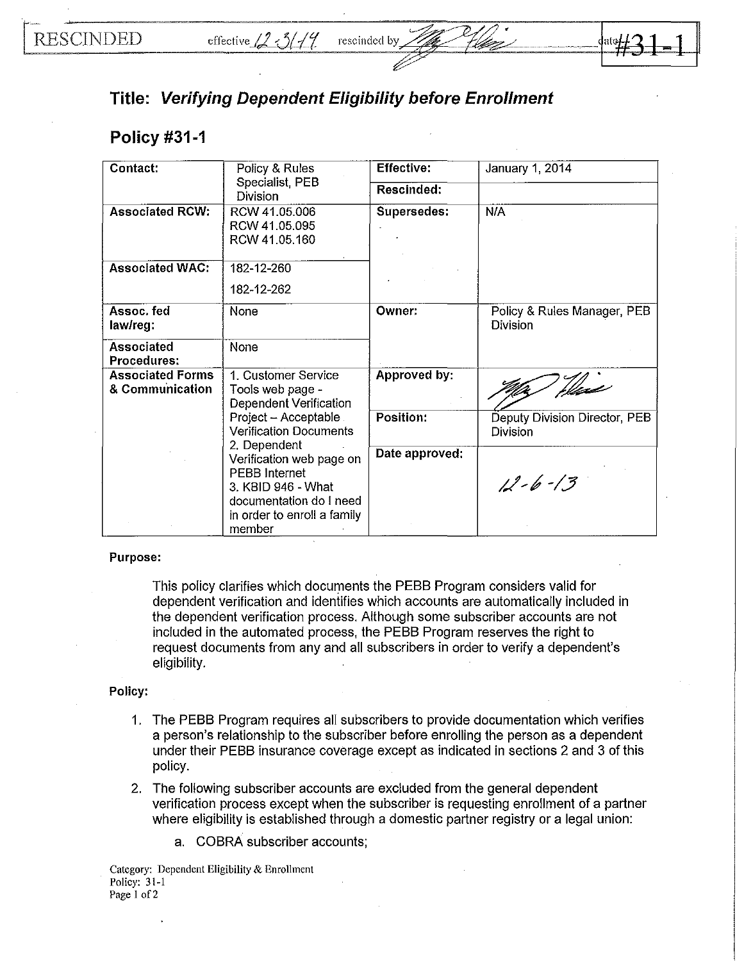## **Title: Verifying Dependent Eligibility before Enrollment**

## **Policy #31-1**

| Contact:                                   | Policy & Rules<br>Specialist PEB                                                                                                                                                                             | <b>Effective:</b> | January 1, 2014                                |
|--------------------------------------------|--------------------------------------------------------------------------------------------------------------------------------------------------------------------------------------------------------------|-------------------|------------------------------------------------|
|                                            | Division                                                                                                                                                                                                     | Rescinded:        |                                                |
| <b>Associated RCW:</b>                     | RCW 41.05.006<br>RCW 41.05.095<br>RCW 41.05.160                                                                                                                                                              | Supersedes:       | N/A                                            |
| <b>Associated WAC:</b>                     | 182-12-260<br>182-12-262                                                                                                                                                                                     |                   |                                                |
| Assoc, fed<br>law/reg:                     | None                                                                                                                                                                                                         | Owner:            | Policy & Rules Manager, PEB<br><b>Division</b> |
| <b>Associated</b><br><b>Procedures:</b>    | None                                                                                                                                                                                                         |                   |                                                |
| <b>Associated Forms</b><br>& Communication | 1. Customer Service<br>Tools web page -<br>Dependent Verification                                                                                                                                            | Approved by:      | There                                          |
|                                            | Project - Acceptable<br><b>Verification Documents</b><br>2. Dependent<br>Verification web page on<br>PEBB Internet<br>3. KBID 946 - What<br>documentation do I need<br>in order to enroll a family<br>member | Position:         | Deputy Division Director, PEB<br>Division      |
|                                            |                                                                                                                                                                                                              | Date approved:    | $12 - 6 - 13$                                  |

## Purpose:

This policy clarifies which documents the PEBB Program considers valid for dependent verification and identifies which accounts are automatically included in the dependent verification process. Although some subscriber accounts are not included in the automated process, the PEBB Program reserves the right to request documents from any and all subscribers in order to verify a dependent's eligibility.

## Policy:

- 1. The PEBB Program requires all subscribers to provide documentation which verifies a person's relationship to the subscriber before enrolling the person as a dependent under their PEBB insurance coverage except as indicated in sections 2 and 3 of this policy.
- 2. The following subscriber accounts are excluded from the general dependent verification process except when the subscriber is requesting enrollment of a partner where eligibility is established through a domestic partner registry or a legal union:
	- a. COBRA subscriber accounts;

Category: Dependent Eligibility & Enrollment Policy: 3 l-l Page 1 of 2